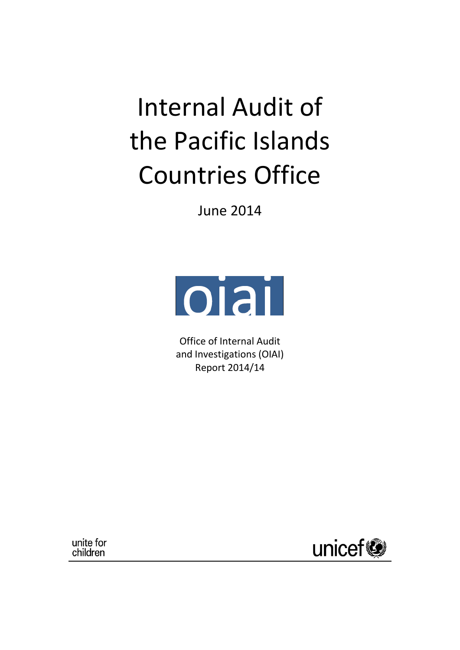# Internal Audit of the Pacific Islands Countries Office

June 2014



Office of Internal Audit and Investigations (OIAI) Report 2014/14

unite for children

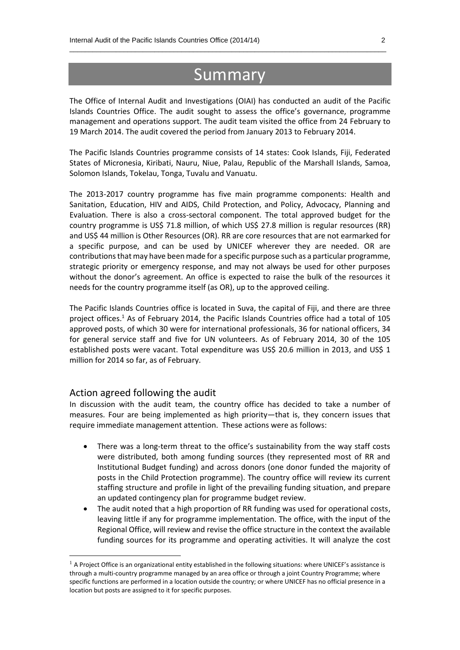# Summary

 $\_$  , and the set of the set of the set of the set of the set of the set of the set of the set of the set of the set of the set of the set of the set of the set of the set of the set of the set of the set of the set of th

The Office of Internal Audit and Investigations (OIAI) has conducted an audit of the Pacific Islands Countries Office. The audit sought to assess the office's governance, programme management and operations support. The audit team visited the office from 24 February to 19 March 2014. The audit covered the period from January 2013 to February 2014.

The Pacific Islands Countries programme consists of 14 states: Cook Islands, Fiji, Federated States of Micronesia, Kiribati, Nauru, Niue, Palau, Republic of the Marshall Islands, Samoa, Solomon Islands, Tokelau, Tonga, Tuvalu and Vanuatu.

The 2013-2017 country programme has five main programme components: Health and Sanitation, Education, HIV and AIDS, Child Protection, and Policy, Advocacy, Planning and Evaluation. There is also a cross-sectoral component. The total approved budget for the country programme is US\$ 71.8 million, of which US\$ 27.8 million is regular resources (RR) and US\$ 44 million is Other Resources (OR). RR are core resources that are not earmarked for a specific purpose, and can be used by UNICEF wherever they are needed. OR are contributions that may have been made for a specific purpose such as a particular programme, strategic priority or emergency response, and may not always be used for other purposes without the donor's agreement. An office is expected to raise the bulk of the resources it needs for the country programme itself (as OR), up to the approved ceiling.

The Pacific Islands Countries office is located in Suva, the capital of Fiji, and there are three project offices. <sup>1</sup> As of February 2014, the Pacific Islands Countries office had a total of 105 approved posts, of which 30 were for international professionals, 36 for national officers, 34 for general service staff and five for UN volunteers. As of February 2014, 30 of the 105 established posts were vacant. Total expenditure was US\$ 20.6 million in 2013, and US\$ 1 million for 2014 so far, as of February.

#### Action agreed following the audit

**.** 

In discussion with the audit team, the country office has decided to take a number of measures. Four are being implemented as high priority—that is, they concern issues that require immediate management attention. These actions were as follows:

- There was a long-term threat to the office's sustainability from the way staff costs were distributed, both among funding sources (they represented most of RR and Institutional Budget funding) and across donors (one donor funded the majority of posts in the Child Protection programme). The country office will review its current staffing structure and profile in light of the prevailing funding situation, and prepare an updated contingency plan for programme budget review.
- The audit noted that a high proportion of RR funding was used for operational costs, leaving little if any for programme implementation. The office, with the input of the Regional Office, will review and revise the office structure in the context the available funding sources for its programme and operating activities. It will analyze the cost

 $1$  A Project Office is an organizational entity established in the following situations: where UNICEF's assistance is through a multi‐country programme managed by an area office or through a joint Country Programme; where specific functions are performed in a location outside the country; or where UNICEF has no official presence in a location but posts are assigned to it for specific purposes.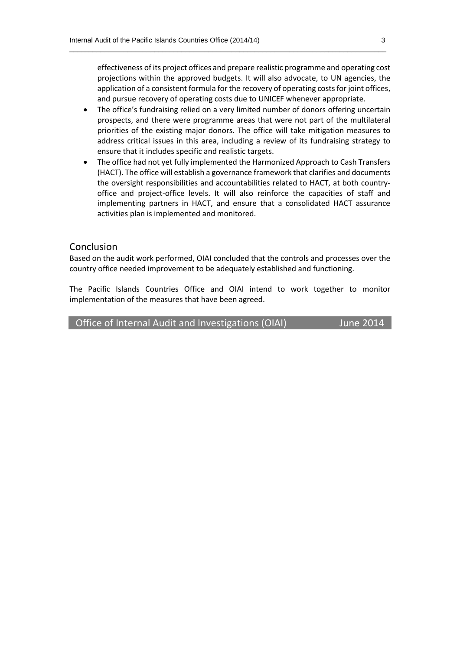effectiveness of its project offices and prepare realistic programme and operating cost projections within the approved budgets. It will also advocate, to UN agencies, the application of a consistent formula for the recovery of operating costs for joint offices, and pursue recovery of operating costs due to UNICEF whenever appropriate.

 $\_$  , and the set of the set of the set of the set of the set of the set of the set of the set of the set of the set of the set of the set of the set of the set of the set of the set of the set of the set of the set of th

- The office's fundraising relied on a very limited number of donors offering uncertain prospects, and there were programme areas that were not part of the multilateral priorities of the existing major donors. The office will take mitigation measures to address critical issues in this area, including a review of its fundraising strategy to ensure that it includes specific and realistic targets.
- The office had not yet fully implemented the Harmonized Approach to Cash Transfers (HACT). The office will establish a governance framework that clarifies and documents the oversight responsibilities and accountabilities related to HACT, at both country‐ office and project‐office levels. It will also reinforce the capacities of staff and implementing partners in HACT, and ensure that a consolidated HACT assurance activities plan is implemented and monitored.

#### Conclusion

Based on the audit work performed, OIAI concluded that the controls and processes over the country office needed improvement to be adequately established and functioning.

The Pacific Islands Countries Office and OIAI intend to work together to monitor implementation of the measures that have been agreed.

| Office of Internal Audit and Investigations (OIAI) | June 2014 |
|----------------------------------------------------|-----------|
|----------------------------------------------------|-----------|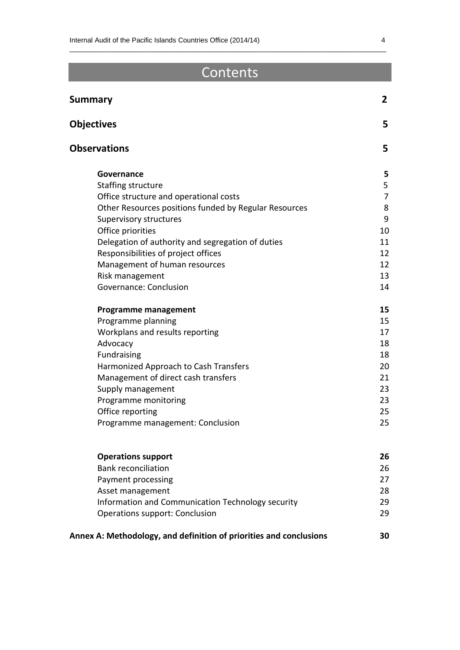# Contents

 $\_$  , and the set of the set of the set of the set of the set of the set of the set of the set of the set of the set of the set of the set of the set of the set of the set of the set of the set of the set of the set of th

| <b>Summary</b>                                        |    |
|-------------------------------------------------------|----|
| <b>Objectives</b>                                     | 5  |
| <b>Observations</b>                                   | 5  |
| Governance                                            | 5  |
| Staffing structure                                    | 5  |
| Office structure and operational costs                | 7  |
| Other Resources positions funded by Regular Resources | 8  |
| Supervisory structures                                | 9  |
| Office priorities                                     | 10 |
| Delegation of authority and segregation of duties     | 11 |
| Responsibilities of project offices                   | 12 |
| Management of human resources                         | 12 |
| Risk management                                       | 13 |
| Governance: Conclusion                                | 14 |
| <b>Programme management</b>                           | 15 |
| Programme planning                                    | 15 |
| Workplans and results reporting                       | 17 |
| Advocacy                                              | 18 |
| Fundraising                                           | 18 |
| Harmonized Approach to Cash Transfers                 | 20 |
| Management of direct cash transfers                   | 21 |
| Supply management                                     | 23 |
| Programme monitoring                                  | 23 |
| Office reporting                                      | 25 |
| Programme management: Conclusion                      | 25 |
| <b>Operations support</b>                             | 26 |
| <b>Bank reconciliation</b>                            | 26 |
| Payment processing                                    | 27 |
|                                                       | 28 |
| Asset management                                      | 29 |
| Information and Communication Technology security     | 29 |
| Operations support: Conclusion                        |    |

**Annex A: Methodology, and definition of priorities and conclusions 30**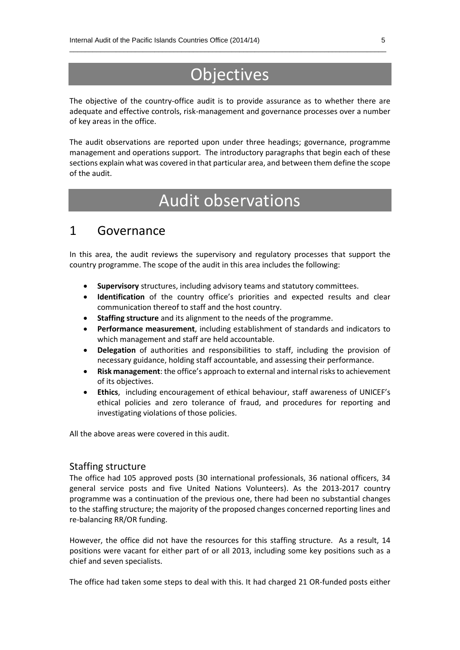# **Objectives**

 $\_$  , and the set of the set of the set of the set of the set of the set of the set of the set of the set of the set of the set of the set of the set of the set of the set of the set of the set of the set of the set of th

The objective of the country-office audit is to provide assurance as to whether there are adequate and effective controls, risk-management and governance processes over a number of key areas in the office.

The audit observations are reported upon under three headings; governance, programme management and operations support. The introductory paragraphs that begin each of these sections explain what was covered in that particular area, and between them define the scope of the audit.

# Audit observations

### 1 Governance

In this area, the audit reviews the supervisory and regulatory processes that support the country programme. The scope of the audit in this area includes the following:

- **Supervisory** structures, including advisory teams and statutory committees.
- **Identification** of the country office's priorities and expected results and clear communication thereof to staff and the host country.
- **Staffing structure** and its alignment to the needs of the programme.
- **Performance measurement**, including establishment of standards and indicators to which management and staff are held accountable.
- **Delegation** of authorities and responsibilities to staff, including the provision of necessary guidance, holding staff accountable, and assessing their performance.
- **Risk management**: the office's approach to external and internal risks to achievement of its objectives.
- **Ethics**, including encouragement of ethical behaviour, staff awareness of UNICEF's ethical policies and zero tolerance of fraud, and procedures for reporting and investigating violations of those policies.

All the above areas were covered in this audit.

#### Staffing structure

The office had 105 approved posts (30 international professionals, 36 national officers, 34 general service posts and five United Nations Volunteers). As the 2013-2017 country programme was a continuation of the previous one, there had been no substantial changes to the staffing structure; the majority of the proposed changes concerned reporting lines and re-balancing RR/OR funding.

However, the office did not have the resources for this staffing structure. As a result, 14 positions were vacant for either part of or all 2013, including some key positions such as a chief and seven specialists.

The office had taken some steps to deal with this. It had charged 21 OR-funded posts either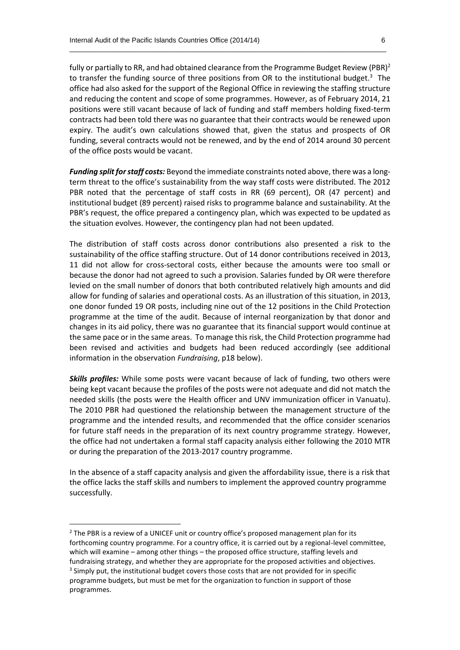fully or partially to RR, and had obtained clearance from the Programme Budget Review (PBR)<sup>2</sup> to transfer the funding source of three positions from OR to the institutional budget. $3$  The office had also asked for the support of the Regional Office in reviewing the staffing structure and reducing the content and scope of some programmes. However, as of February 2014, 21 positions were still vacant because of lack of funding and staff members holding fixed-term contracts had been told there was no guarantee that their contracts would be renewed upon expiry. The audit's own calculations showed that, given the status and prospects of OR funding, several contracts would not be renewed, and by the end of 2014 around 30 percent of the office posts would be vacant.

 $\_$  , and the set of the set of the set of the set of the set of the set of the set of the set of the set of the set of the set of the set of the set of the set of the set of the set of the set of the set of the set of th

*Funding split for staff costs:* Beyond the immediate constraints noted above, there was a longterm threat to the office's sustainability from the way staff costs were distributed. The 2012 PBR noted that the percentage of staff costs in RR (69 percent), OR (47 percent) and institutional budget (89 percent) raised risks to programme balance and sustainability. At the PBR's request, the office prepared a contingency plan, which was expected to be updated as the situation evolves. However, the contingency plan had not been updated.

The distribution of staff costs across donor contributions also presented a risk to the sustainability of the office staffing structure. Out of 14 donor contributions received in 2013, 11 did not allow for cross-sectoral costs, either because the amounts were too small or because the donor had not agreed to such a provision. Salaries funded by OR were therefore levied on the small number of donors that both contributed relatively high amounts and did allow for funding of salaries and operational costs. As an illustration of this situation, in 2013, one donor funded 19 OR posts, including nine out of the 12 positions in the Child Protection programme at the time of the audit. Because of internal reorganization by that donor and changes in its aid policy, there was no guarantee that its financial support would continue at the same pace or in the same areas. To manage this risk, the Child Protection programme had been revised and activities and budgets had been reduced accordingly (see additional information in the observation *Fundraising*, p18 below).

*Skills profiles:* While some posts were vacant because of lack of funding, two others were being kept vacant because the profiles of the posts were not adequate and did not match the needed skills (the posts were the Health officer and UNV immunization officer in Vanuatu). The 2010 PBR had questioned the relationship between the management structure of the programme and the intended results, and recommended that the office consider scenarios for future staff needs in the preparation of its next country programme strategy. However, the office had not undertaken a formal staff capacity analysis either following the 2010 MTR or during the preparation of the 2013-2017 country programme.

In the absence of a staff capacity analysis and given the affordability issue, there is a risk that the office lacks the staff skills and numbers to implement the approved country programme successfully.

 $\overline{a}$ 

<sup>&</sup>lt;sup>2</sup> The PBR is a review of a UNICEF unit or country office's proposed management plan for its forthcoming country programme. For a country office, it is carried out by a regional-level committee, which will examine – among other things – the proposed office structure, staffing levels and fundraising strategy, and whether they are appropriate for the proposed activities and objectives.

<sup>&</sup>lt;sup>3</sup> Simply put, the institutional budget covers those costs that are not provided for in specific programme budgets, but must be met for the organization to function in support of those programmes.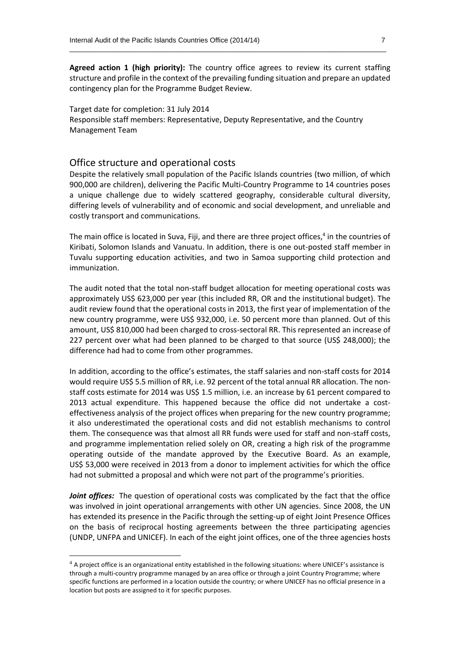**Agreed action 1 (high priority):** The country office agrees to review its current staffing structure and profile in the context of the prevailing funding situation and prepare an updated contingency plan for the Programme Budget Review.

 $\_$  , and the set of the set of the set of the set of the set of the set of the set of the set of the set of the set of the set of the set of the set of the set of the set of the set of the set of the set of the set of th

Target date for completion: 31 July 2014 Responsible staff members: Representative, Deputy Representative, and the Country Management Team

#### Office structure and operational costs

**.** 

Despite the relatively small population of the Pacific Islands countries (two million, of which 900,000 are children), delivering the Pacific Multi-Country Programme to 14 countries poses a unique challenge due to widely scattered geography, considerable cultural diversity, differing levels of vulnerability and of economic and social development, and unreliable and costly transport and communications.

The main office is located in Suva, Fiji, and there are three project offices,<sup>4</sup> in the countries of Kiribati, Solomon Islands and Vanuatu. In addition, there is one out-posted staff member in Tuvalu supporting education activities, and two in Samoa supporting child protection and immunization.

The audit noted that the total non-staff budget allocation for meeting operational costs was approximately US\$ 623,000 per year (this included RR, OR and the institutional budget). The audit review found that the operational costs in 2013, the first year of implementation of the new country programme, were US\$ 932,000, i.e. 50 percent more than planned. Out of this amount, US\$ 810,000 had been charged to cross-sectoral RR. This represented an increase of 227 percent over what had been planned to be charged to that source (US\$ 248,000); the difference had had to come from other programmes.

In addition, according to the office's estimates, the staff salaries and non-staff costs for 2014 would require US\$ 5.5 million of RR, i.e. 92 percent of the total annual RR allocation. The nonstaff costs estimate for 2014 was US\$ 1.5 million, i.e. an increase by 61 percent compared to 2013 actual expenditure. This happened because the office did not undertake a costeffectiveness analysis of the project offices when preparing for the new country programme; it also underestimated the operational costs and did not establish mechanisms to control them. The consequence was that almost all RR funds were used for staff and non-staff costs, and programme implementation relied solely on OR, creating a high risk of the programme operating outside of the mandate approved by the Executive Board. As an example, US\$ 53,000 were received in 2013 from a donor to implement activities for which the office had not submitted a proposal and which were not part of the programme's priorities.

*Joint offices:* The question of operational costs was complicated by the fact that the office was involved in joint operational arrangements with other UN agencies. Since 2008, the UN has extended its presence in the Pacific through the setting-up of eight Joint Presence Offices on the basis of reciprocal hosting agreements between the three participating agencies (UNDP, UNFPA and UNICEF). In each of the eight joint offices, one of the three agencies hosts

<sup>&</sup>lt;sup>4</sup> A project office is an organizational entity established in the following situations: where UNICEF's assistance is through a multi‐country programme managed by an area office or through a joint Country Programme; where specific functions are performed in a location outside the country; or where UNICEF has no official presence in a location but posts are assigned to it for specific purposes.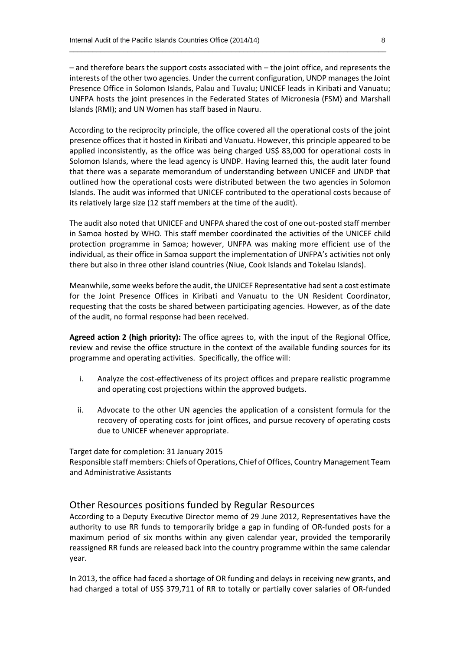– and therefore bears the support costs associated with – the joint office, and represents the interests of the other two agencies. Under the current configuration, UNDP manages the Joint Presence Office in Solomon Islands, Palau and Tuvalu; UNICEF leads in Kiribati and Vanuatu; UNFPA hosts the joint presences in the Federated States of Micronesia (FSM) and Marshall Islands (RMI); and UN Women has staff based in Nauru.

 $\_$  , and the set of the set of the set of the set of the set of the set of the set of the set of the set of the set of the set of the set of the set of the set of the set of the set of the set of the set of the set of th

According to the reciprocity principle, the office covered all the operational costs of the joint presence offices that it hosted in Kiribati and Vanuatu. However, this principle appeared to be applied inconsistently, as the office was being charged US\$ 83,000 for operational costs in Solomon Islands, where the lead agency is UNDP. Having learned this, the audit later found that there was a separate memorandum of understanding between UNICEF and UNDP that outlined how the operational costs were distributed between the two agencies in Solomon Islands. The audit was informed that UNICEF contributed to the operational costs because of its relatively large size (12 staff members at the time of the audit).

The audit also noted that UNICEF and UNFPA shared the cost of one out-posted staff member in Samoa hosted by WHO. This staff member coordinated the activities of the UNICEF child protection programme in Samoa; however, UNFPA was making more efficient use of the individual, as their office in Samoa support the implementation of UNFPA's activities not only there but also in three other island countries (Niue, Cook Islands and Tokelau Islands).

Meanwhile, some weeks before the audit, the UNICEF Representative had sent a cost estimate for the Joint Presence Offices in Kiribati and Vanuatu to the UN Resident Coordinator, requesting that the costs be shared between participating agencies. However, as of the date of the audit, no formal response had been received.

**Agreed action 2 (high priority):** The office agrees to, with the input of the Regional Office, review and revise the office structure in the context of the available funding sources for its programme and operating activities. Specifically, the office will:

- i. Analyze the cost-effectiveness of its project offices and prepare realistic programme and operating cost projections within the approved budgets.
- ii. Advocate to the other UN agencies the application of a consistent formula for the recovery of operating costs for joint offices, and pursue recovery of operating costs due to UNICEF whenever appropriate.

Target date for completion: 31 January 2015

Responsible staff members: Chiefs of Operations, Chief of Offices, Country Management Team and Administrative Assistants

#### Other Resources positions funded by Regular Resources

According to a Deputy Executive Director memo of 29 June 2012, Representatives have the authority to use RR funds to temporarily bridge a gap in funding of OR-funded posts for a maximum period of six months within any given calendar year, provided the temporarily reassigned RR funds are released back into the country programme within the same calendar year.

In 2013, the office had faced a shortage of OR funding and delays in receiving new grants, and had charged a total of US\$ 379,711 of RR to totally or partially cover salaries of OR-funded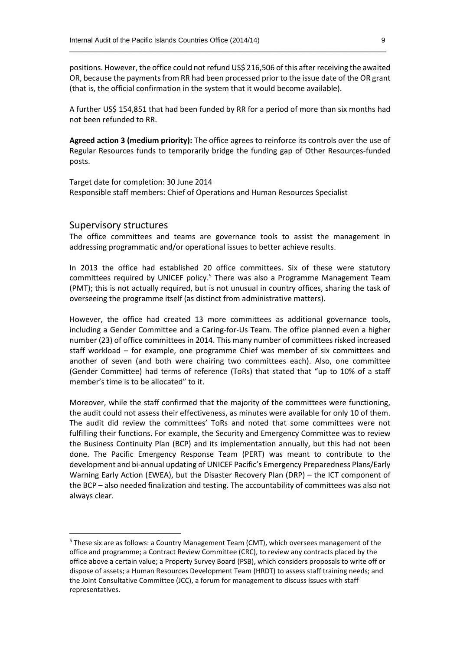positions. However, the office could not refund US\$ 216,506 of this after receiving the awaited OR, because the paymentsfrom RR had been processed prior to the issue date of the OR grant (that is, the official confirmation in the system that it would become available).

 $\_$  , and the set of the set of the set of the set of the set of the set of the set of the set of the set of the set of the set of the set of the set of the set of the set of the set of the set of the set of the set of th

A further US\$ 154,851 that had been funded by RR for a period of more than six months had not been refunded to RR.

**Agreed action 3 (medium priority):** The office agrees to reinforce its controls over the use of Regular Resources funds to temporarily bridge the funding gap of Other Resources-funded posts.

Target date for completion: 30 June 2014 Responsible staff members: Chief of Operations and Human Resources Specialist

#### Supervisory structures

**.** 

The office committees and teams are governance tools to assist the management in addressing programmatic and/or operational issues to better achieve results.

In 2013 the office had established 20 office committees. Six of these were statutory committees required by UNICEF policy.<sup>5</sup> There was also a Programme Management Team (PMT); this is not actually required, but is not unusual in country offices, sharing the task of overseeing the programme itself (as distinct from administrative matters).

However, the office had created 13 more committees as additional governance tools, including a Gender Committee and a Caring-for-Us Team. The office planned even a higher number (23) of office committees in 2014. This many number of committees risked increased staff workload – for example, one programme Chief was member of six committees and another of seven (and both were chairing two committees each). Also, one committee (Gender Committee) had terms of reference (ToRs) that stated that "up to 10% of a staff member's time is to be allocated" to it.

Moreover, while the staff confirmed that the majority of the committees were functioning, the audit could not assess their effectiveness, as minutes were available for only 10 of them. The audit did review the committees' ToRs and noted that some committees were not fulfilling their functions. For example, the Security and Emergency Committee was to review the Business Continuity Plan (BCP) and its implementation annually, but this had not been done. The Pacific Emergency Response Team (PERT) was meant to contribute to the development and bi-annual updating of UNICEF Pacific's Emergency Preparedness Plans/Early Warning Early Action (EWEA), but the Disaster Recovery Plan (DRP) – the ICT component of the BCP – also needed finalization and testing. The accountability of committees was also not always clear.

<sup>5</sup> These six are as follows: a Country Management Team (CMT), which oversees management of the office and programme; a Contract Review Committee (CRC), to review any contracts placed by the office above a certain value; a Property Survey Board (PSB), which considers proposals to write off or dispose of assets; a Human Resources Development Team (HRDT) to assess staff training needs; and the Joint Consultative Committee (JCC), a forum for management to discuss issues with staff representatives.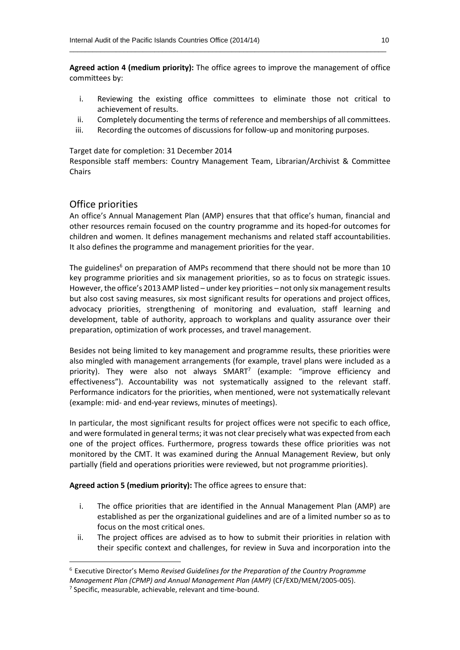**Agreed action 4 (medium priority):** The office agrees to improve the management of office committees by:

 $\_$  , and the set of the set of the set of the set of the set of the set of the set of the set of the set of the set of the set of the set of the set of the set of the set of the set of the set of the set of the set of th

- i. Reviewing the existing office committees to eliminate those not critical to achievement of results.
- ii. Completely documenting the terms of reference and memberships of all committees.
- iii. Recording the outcomes of discussions for follow-up and monitoring purposes.

Target date for completion: 31 December 2014

Responsible staff members: Country Management Team, Librarian/Archivist & Committee Chairs

#### Office priorities

An office's Annual Management Plan (AMP) ensures that that office's human, financial and other resources remain focused on the country programme and its hoped-for outcomes for children and women. It defines management mechanisms and related staff accountabilities. It also defines the programme and management priorities for the year.

The guidelines<sup>6</sup> on preparation of AMPs recommend that there should not be more than 10 key programme priorities and six management priorities, so as to focus on strategic issues. However, the office's 2013 AMP listed – under key priorities – not only six management results but also cost saving measures, six most significant results for operations and project offices, advocacy priorities, strengthening of monitoring and evaluation, staff learning and development, table of authority, approach to workplans and quality assurance over their preparation, optimization of work processes, and travel management.

Besides not being limited to key management and programme results, these priorities were also mingled with management arrangements (for example, travel plans were included as a priority). They were also not always SMART<sup>7</sup> (example: "improve efficiency and effectiveness"). Accountability was not systematically assigned to the relevant staff. Performance indicators for the priorities, when mentioned, were not systematically relevant (example: mid- and end-year reviews, minutes of meetings).

In particular, the most significant results for project offices were not specific to each office, and were formulated in general terms; it was not clear precisely what was expected from each one of the project offices. Furthermore, progress towards these office priorities was not monitored by the CMT. It was examined during the Annual Management Review, but only partially (field and operations priorities were reviewed, but not programme priorities).

**Agreed action 5 (medium priority):** The office agrees to ensure that:

- i. The office priorities that are identified in the Annual Management Plan (AMP) are established as per the organizational guidelines and are of a limited number so as to focus on the most critical ones.
- ii. The project offices are advised as to how to submit their priorities in relation with their specific context and challenges, for review in Suva and incorporation into the

**.** 

<sup>6</sup> Executive Director's Memo *Revised Guidelines for the Preparation of the Country Programme* 

*Management Plan (CPMP) and Annual Management Plan (AMP)* (CF/EXD/MEM/2005-005).

<sup>&</sup>lt;sup>7</sup> Specific, measurable, achievable, relevant and time-bound.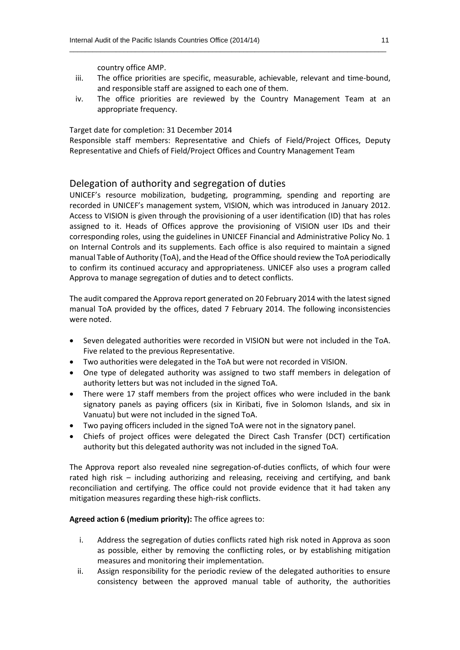country office AMP.

iii. The office priorities are specific, measurable, achievable, relevant and time-bound, and responsible staff are assigned to each one of them.

 $\_$  , and the set of the set of the set of the set of the set of the set of the set of the set of the set of the set of the set of the set of the set of the set of the set of the set of the set of the set of the set of th

iv. The office priorities are reviewed by the Country Management Team at an appropriate frequency.

Target date for completion: 31 December 2014

Responsible staff members: Representative and Chiefs of Field/Project Offices, Deputy Representative and Chiefs of Field/Project Offices and Country Management Team

#### Delegation of authority and segregation of duties

UNICEF's resource mobilization, budgeting, programming, spending and reporting are recorded in UNICEF's management system, VISION, which was introduced in January 2012. Access to VISION is given through the provisioning of a user identification (ID) that has roles assigned to it. Heads of Offices approve the provisioning of VISION user IDs and their corresponding roles, using the guidelines in UNICEF Financial and Administrative Policy No. 1 on Internal Controls and its supplements. Each office is also required to maintain a signed manual Table of Authority (ToA), and the Head of the Office should review the ToA periodically to confirm its continued accuracy and appropriateness. UNICEF also uses a program called Approva to manage segregation of duties and to detect conflicts.

The audit compared the Approva report generated on 20 February 2014 with the latest signed manual ToA provided by the offices, dated 7 February 2014. The following inconsistencies were noted.

- Seven delegated authorities were recorded in VISION but were not included in the ToA. Five related to the previous Representative.
- Two authorities were delegated in the ToA but were not recorded in VISION.
- One type of delegated authority was assigned to two staff members in delegation of authority letters but was not included in the signed ToA.
- There were 17 staff members from the project offices who were included in the bank signatory panels as paying officers (six in Kiribati, five in Solomon Islands, and six in Vanuatu) but were not included in the signed ToA.
- Two paying officers included in the signed ToA were not in the signatory panel.
- Chiefs of project offices were delegated the Direct Cash Transfer (DCT) certification authority but this delegated authority was not included in the signed ToA.

The Approva report also revealed nine segregation-of-duties conflicts, of which four were rated high risk – including authorizing and releasing, receiving and certifying, and bank reconciliation and certifying. The office could not provide evidence that it had taken any mitigation measures regarding these high-risk conflicts.

#### **Agreed action 6 (medium priority):** The office agrees to:

- i. Address the segregation of duties conflicts rated high risk noted in Approva as soon as possible, either by removing the conflicting roles, or by establishing mitigation measures and monitoring their implementation.
- ii. Assign responsibility for the periodic review of the delegated authorities to ensure consistency between the approved manual table of authority, the authorities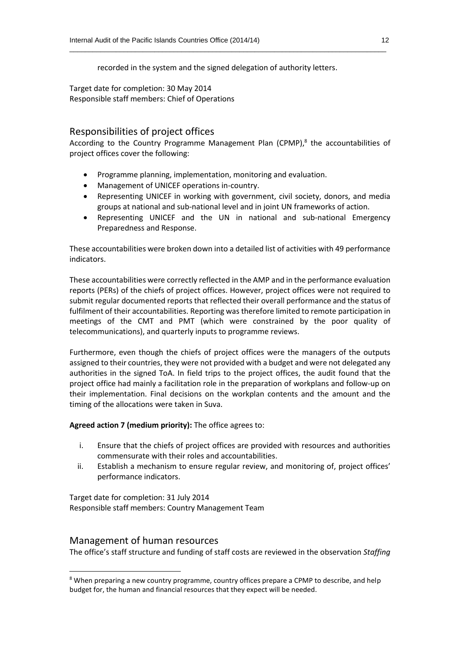recorded in the system and the signed delegation of authority letters.

 $\_$  , and the set of the set of the set of the set of the set of the set of the set of the set of the set of the set of the set of the set of the set of the set of the set of the set of the set of the set of the set of th

Target date for completion: 30 May 2014 Responsible staff members: Chief of Operations

#### Responsibilities of project offices

According to the Country Programme Management Plan (CPMP),<sup>8</sup> the accountabilities of project offices cover the following:

- Programme planning, implementation, monitoring and evaluation.
- Management of UNICEF operations in-country.
- Representing UNICEF in working with government, civil society, donors, and media groups at national and sub-national level and in joint UN frameworks of action.
- Representing UNICEF and the UN in national and sub-national Emergency Preparedness and Response.

These accountabilities were broken down into a detailed list of activities with 49 performance indicators.

These accountabilities were correctly reflected in the AMP and in the performance evaluation reports (PERs) of the chiefs of project offices. However, project offices were not required to submit regular documented reports that reflected their overall performance and the status of fulfilment of their accountabilities. Reporting was therefore limited to remote participation in meetings of the CMT and PMT (which were constrained by the poor quality of telecommunications), and quarterly inputs to programme reviews.

Furthermore, even though the chiefs of project offices were the managers of the outputs assigned to their countries, they were not provided with a budget and were not delegated any authorities in the signed ToA. In field trips to the project offices, the audit found that the project office had mainly a facilitation role in the preparation of workplans and follow-up on their implementation. Final decisions on the workplan contents and the amount and the timing of the allocations were taken in Suva.

**Agreed action 7 (medium priority):** The office agrees to:

- i. Ensure that the chiefs of project offices are provided with resources and authorities commensurate with their roles and accountabilities.
- ii. Establish a mechanism to ensure regular review, and monitoring of, project offices' performance indicators.

Target date for completion: 31 July 2014 Responsible staff members: Country Management Team

#### Management of human resources

**.** 

The office's staff structure and funding of staff costs are reviewed in the observation *Staffing* 

<sup>&</sup>lt;sup>8</sup> When preparing a new country programme, country offices prepare a CPMP to describe, and help budget for, the human and financial resources that they expect will be needed.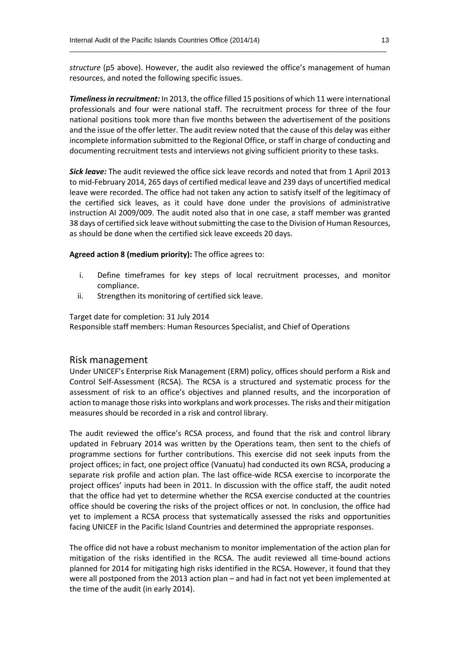*structure* (p5 above). However, the audit also reviewed the office's management of human resources, and noted the following specific issues.

 $\_$  , and the set of the set of the set of the set of the set of the set of the set of the set of the set of the set of the set of the set of the set of the set of the set of the set of the set of the set of the set of th

*Timeliness in recruitment:* In 2013, the office filled 15 positions of which 11 were international professionals and four were national staff. The recruitment process for three of the four national positions took more than five months between the advertisement of the positions and the issue of the offer letter. The audit review noted that the cause of this delay was either incomplete information submitted to the Regional Office, or staff in charge of conducting and documenting recruitment tests and interviews not giving sufficient priority to these tasks.

*Sick leave:* The audit reviewed the office sick leave records and noted that from 1 April 2013 to mid-February 2014, 265 days of certified medical leave and 239 days of uncertified medical leave were recorded. The office had not taken any action to satisfy itself of the legitimacy of the certified sick leaves, as it could have done under the provisions of administrative instruction AI 2009/009. The audit noted also that in one case, a staff member was granted 38 days of certified sick leave without submitting the case to the Division of Human Resources, as should be done when the certified sick leave exceeds 20 days.

**Agreed action 8 (medium priority):** The office agrees to:

- i. Define timeframes for key steps of local recruitment processes, and monitor compliance.
- ii. Strengthen its monitoring of certified sick leave.

Target date for completion: 31 July 2014

Responsible staff members: Human Resources Specialist, and Chief of Operations

#### Risk management

Under UNICEF's Enterprise Risk Management (ERM) policy, offices should perform a Risk and Control Self-Assessment (RCSA). The RCSA is a structured and systematic process for the assessment of risk to an office's objectives and planned results, and the incorporation of action to manage those risks into workplans and work processes. The risks and their mitigation measures should be recorded in a risk and control library.

The audit reviewed the office's RCSA process, and found that the risk and control library updated in February 2014 was written by the Operations team, then sent to the chiefs of programme sections for further contributions. This exercise did not seek inputs from the project offices; in fact, one project office (Vanuatu) had conducted its own RCSA, producing a separate risk profile and action plan. The last office-wide RCSA exercise to incorporate the project offices' inputs had been in 2011. In discussion with the office staff, the audit noted that the office had yet to determine whether the RCSA exercise conducted at the countries office should be covering the risks of the project offices or not. In conclusion, the office had yet to implement a RCSA process that systematically assessed the risks and opportunities facing UNICEF in the Pacific Island Countries and determined the appropriate responses.

The office did not have a robust mechanism to monitor implementation of the action plan for mitigation of the risks identified in the RCSA. The audit reviewed all time-bound actions planned for 2014 for mitigating high risks identified in the RCSA. However, it found that they were all postponed from the 2013 action plan – and had in fact not yet been implemented at the time of the audit (in early 2014).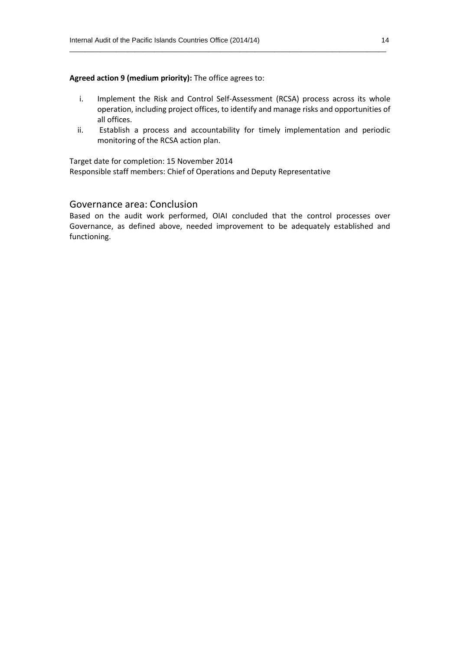#### **Agreed action 9 (medium priority):** The office agrees to:

i. Implement the Risk and Control Self-Assessment (RCSA) process across its whole operation, including project offices, to identify and manage risks and opportunities of all offices.

 $\_$  , and the set of the set of the set of the set of the set of the set of the set of the set of the set of the set of the set of the set of the set of the set of the set of the set of the set of the set of the set of th

ii. Establish a process and accountability for timely implementation and periodic monitoring of the RCSA action plan.

Target date for completion: 15 November 2014

Responsible staff members: Chief of Operations and Deputy Representative

#### Governance area: Conclusion

Based on the audit work performed, OIAI concluded that the control processes over Governance, as defined above, needed improvement to be adequately established and functioning.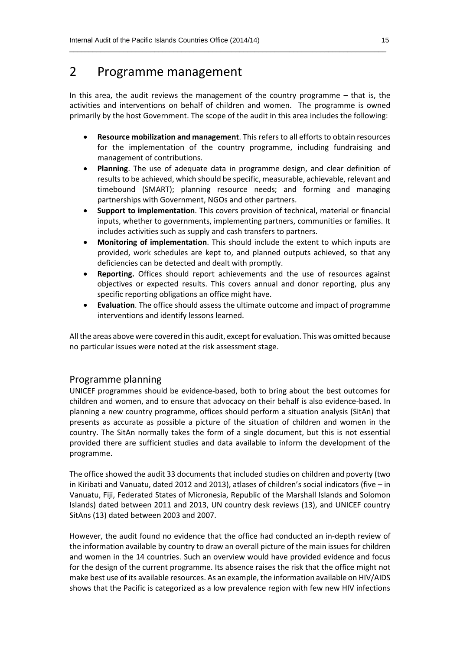# 2 Programme management

In this area, the audit reviews the management of the country programme – that is, the activities and interventions on behalf of children and women. The programme is owned primarily by the host Government. The scope of the audit in this area includes the following:

 $\_$  , and the set of the set of the set of the set of the set of the set of the set of the set of the set of the set of the set of the set of the set of the set of the set of the set of the set of the set of the set of th

- **Resource mobilization and management**. This refers to all efforts to obtain resources for the implementation of the country programme, including fundraising and management of contributions.
- **Planning**. The use of adequate data in programme design, and clear definition of results to be achieved, which should be specific, measurable, achievable, relevant and timebound (SMART); planning resource needs; and forming and managing partnerships with Government, NGOs and other partners.
- **Support to implementation**. This covers provision of technical, material or financial inputs, whether to governments, implementing partners, communities or families. It includes activities such as supply and cash transfers to partners.
- **Monitoring of implementation**. This should include the extent to which inputs are provided, work schedules are kept to, and planned outputs achieved, so that any deficiencies can be detected and dealt with promptly.
- **Reporting.** Offices should report achievements and the use of resources against objectives or expected results. This covers annual and donor reporting, plus any specific reporting obligations an office might have.
- **Evaluation**. The office should assess the ultimate outcome and impact of programme interventions and identify lessons learned.

All the areas above were covered in this audit, except for evaluation. This was omitted because no particular issues were noted at the risk assessment stage.

#### Programme planning

UNICEF programmes should be evidence-based, both to bring about the best outcomes for children and women, and to ensure that advocacy on their behalf is also evidence-based. In planning a new country programme, offices should perform a situation analysis (SitAn) that presents as accurate as possible a picture of the situation of children and women in the country. The SitAn normally takes the form of a single document, but this is not essential provided there are sufficient studies and data available to inform the development of the programme.

The office showed the audit 33 documents that included studies on children and poverty (two in Kiribati and Vanuatu, dated 2012 and 2013), atlases of children's social indicators (five – in Vanuatu, Fiji, Federated States of Micronesia, Republic of the Marshall Islands and Solomon Islands) dated between 2011 and 2013, UN country desk reviews (13), and UNICEF country SitAns (13) dated between 2003 and 2007.

However, the audit found no evidence that the office had conducted an in-depth review of the information available by country to draw an overall picture of the main issues for children and women in the 14 countries. Such an overview would have provided evidence and focus for the design of the current programme. Its absence raises the risk that the office might not make best use of its available resources. As an example, the information available on HIV/AIDS shows that the Pacific is categorized as a low prevalence region with few new HIV infections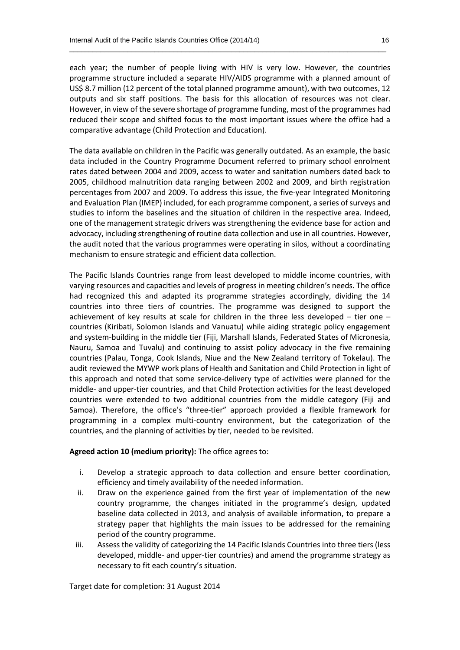each year; the number of people living with HIV is very low. However, the countries programme structure included a separate HIV/AIDS programme with a planned amount of US\$ 8.7 million (12 percent of the total planned programme amount), with two outcomes, 12 outputs and six staff positions. The basis for this allocation of resources was not clear. However, in view of the severe shortage of programme funding, most of the programmes had reduced their scope and shifted focus to the most important issues where the office had a comparative advantage (Child Protection and Education).

 $\_$  , and the set of the set of the set of the set of the set of the set of the set of the set of the set of the set of the set of the set of the set of the set of the set of the set of the set of the set of the set of th

The data available on children in the Pacific was generally outdated. As an example, the basic data included in the Country Programme Document referred to primary school enrolment rates dated between 2004 and 2009, access to water and sanitation numbers dated back to 2005, childhood malnutrition data ranging between 2002 and 2009, and birth registration percentages from 2007 and 2009. To address this issue, the five-year Integrated Monitoring and Evaluation Plan (IMEP) included, for each programme component, a series of surveys and studies to inform the baselines and the situation of children in the respective area. Indeed, one of the management strategic drivers was strengthening the evidence base for action and advocacy, including strengthening of routine data collection and use in all countries. However, the audit noted that the various programmes were operating in silos, without a coordinating mechanism to ensure strategic and efficient data collection.

The Pacific Islands Countries range from least developed to middle income countries, with varying resources and capacities and levels of progress in meeting children's needs. The office had recognized this and adapted its programme strategies accordingly, dividing the 14 countries into three tiers of countries. The programme was designed to support the achievement of key results at scale for children in the three less developed – tier one – countries (Kiribati, Solomon Islands and Vanuatu) while aiding strategic policy engagement and system-building in the middle tier (Fiji, Marshall Islands, Federated States of Micronesia, Nauru, Samoa and Tuvalu) and continuing to assist policy advocacy in the five remaining countries (Palau, Tonga, Cook Islands, Niue and the New Zealand territory of Tokelau). The audit reviewed the MYWP work plans of Health and Sanitation and Child Protection in light of this approach and noted that some service-delivery type of activities were planned for the middle- and upper-tier countries, and that Child Protection activities for the least developed countries were extended to two additional countries from the middle category (Fiji and Samoa). Therefore, the office's "three-tier" approach provided a flexible framework for programming in a complex multi-country environment, but the categorization of the countries, and the planning of activities by tier, needed to be revisited.

#### **Agreed action 10 (medium priority):** The office agrees to:

- i. Develop a strategic approach to data collection and ensure better coordination, efficiency and timely availability of the needed information.
- ii. Draw on the experience gained from the first year of implementation of the new country programme, the changes initiated in the programme's design, updated baseline data collected in 2013, and analysis of available information, to prepare a strategy paper that highlights the main issues to be addressed for the remaining period of the country programme.
- iii. Assess the validity of categorizing the 14 Pacific Islands Countries into three tiers (less developed, middle- and upper-tier countries) and amend the programme strategy as necessary to fit each country's situation.

Target date for completion: 31 August 2014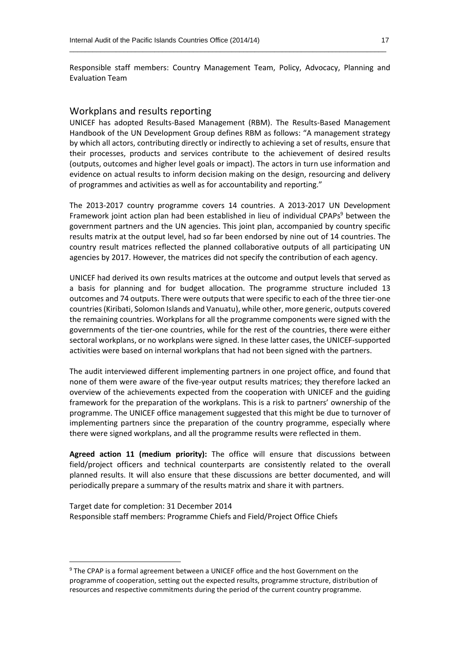Responsible staff members: Country Management Team, Policy, Advocacy, Planning and Evaluation Team

 $\_$  , and the set of the set of the set of the set of the set of the set of the set of the set of the set of the set of the set of the set of the set of the set of the set of the set of the set of the set of the set of th

#### Workplans and results reporting

UNICEF has adopted Results-Based Management (RBM). The Results-Based Management Handbook of the UN Development Group defines RBM as follows: "A management strategy by which all actors, contributing directly or indirectly to achieving a set of results, ensure that their processes, products and services contribute to the achievement of desired results (outputs, outcomes and higher level goals or impact). The actors in turn use information and evidence on actual results to inform decision making on the design, resourcing and delivery of programmes and activities as well as for accountability and reporting."

The 2013-2017 country programme covers 14 countries. A 2013-2017 UN Development Framework joint action plan had been established in lieu of individual CPAPs<sup>9</sup> between the government partners and the UN agencies. This joint plan, accompanied by country specific results matrix at the output level, had so far been endorsed by nine out of 14 countries. The country result matrices reflected the planned collaborative outputs of all participating UN agencies by 2017. However, the matrices did not specify the contribution of each agency.

UNICEF had derived its own results matrices at the outcome and output levels that served as a basis for planning and for budget allocation. The programme structure included 13 outcomes and 74 outputs. There were outputs that were specific to each of the three tier-one countries(Kiribati, Solomon Islands and Vanuatu), while other, more generic, outputs covered the remaining countries. Workplans for all the programme components were signed with the governments of the tier-one countries, while for the rest of the countries, there were either sectoral workplans, or no workplans were signed. In these latter cases, the UNICEF-supported activities were based on internal workplans that had not been signed with the partners.

The audit interviewed different implementing partners in one project office, and found that none of them were aware of the five-year output results matrices; they therefore lacked an overview of the achievements expected from the cooperation with UNICEF and the guiding framework for the preparation of the workplans. This is a risk to partners' ownership of the programme. The UNICEF office management suggested that this might be due to turnover of implementing partners since the preparation of the country programme, especially where there were signed workplans, and all the programme results were reflected in them.

**Agreed action 11 (medium priority):** The office will ensure that discussions between field/project officers and technical counterparts are consistently related to the overall planned results. It will also ensure that these discussions are better documented, and will periodically prepare a summary of the results matrix and share it with partners.

Target date for completion: 31 December 2014 Responsible staff members: Programme Chiefs and Field/Project Office Chiefs

**.** 

<sup>&</sup>lt;sup>9</sup> The CPAP is a formal agreement between a UNICEF office and the host Government on the programme of cooperation, setting out the expected results, programme structure, distribution of resources and respective commitments during the period of the current country programme.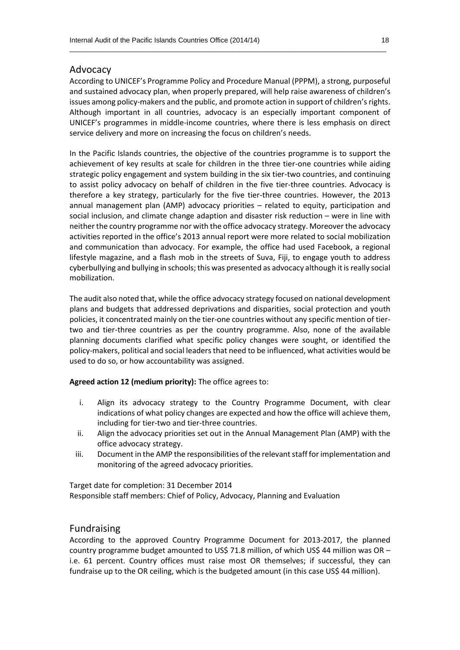#### Advocacy

According to UNICEF's Programme Policy and Procedure Manual (PPPM), a strong, purposeful and sustained advocacy plan, when properly prepared, will help raise awareness of children's issues among policy-makers and the public, and promote action in support of children's rights. Although important in all countries, advocacy is an especially important component of UNICEF's programmes in middle-income countries, where there is less emphasis on direct service delivery and more on increasing the focus on children's needs.

 $\_$  , and the set of the set of the set of the set of the set of the set of the set of the set of the set of the set of the set of the set of the set of the set of the set of the set of the set of the set of the set of th

In the Pacific Islands countries, the objective of the countries programme is to support the achievement of key results at scale for children in the three tier-one countries while aiding strategic policy engagement and system building in the six tier-two countries, and continuing to assist policy advocacy on behalf of children in the five tier-three countries. Advocacy is therefore a key strategy, particularly for the five tier-three countries. However, the 2013 annual management plan (AMP) advocacy priorities – related to equity, participation and social inclusion, and climate change adaption and disaster risk reduction – were in line with neither the country programme nor with the office advocacy strategy. Moreover the advocacy activities reported in the office's 2013 annual report were more related to social mobilization and communication than advocacy. For example, the office had used Facebook, a regional lifestyle magazine, and a flash mob in the streets of Suva, Fiji, to engage youth to address cyberbullying and bullying in schools; this was presented as advocacy although it is really social mobilization.

The audit also noted that, while the office advocacy strategy focused on national development plans and budgets that addressed deprivations and disparities, social protection and youth policies, it concentrated mainly on the tier-one countries without any specific mention of tiertwo and tier-three countries as per the country programme. Also, none of the available planning documents clarified what specific policy changes were sought, or identified the policy-makers, political and social leaders that need to be influenced, what activities would be used to do so, or how accountability was assigned.

**Agreed action 12 (medium priority):** The office agrees to:

- i. Align its advocacy strategy to the Country Programme Document, with clear indications of what policy changes are expected and how the office will achieve them, including for tier-two and tier-three countries.
- ii. Align the advocacy priorities set out in the Annual Management Plan (AMP) with the office advocacy strategy.
- iii. Document in the AMP the responsibilities of the relevant staff for implementation and monitoring of the agreed advocacy priorities.

Target date for completion: 31 December 2014 Responsible staff members: Chief of Policy, Advocacy, Planning and Evaluation

#### Fundraising

According to the approved Country Programme Document for 2013-2017, the planned country programme budget amounted to US\$ 71.8 million, of which US\$ 44 million was OR – i.e. 61 percent. Country offices must raise most OR themselves; if successful, they can fundraise up to the OR ceiling, which is the budgeted amount (in this case US\$ 44 million).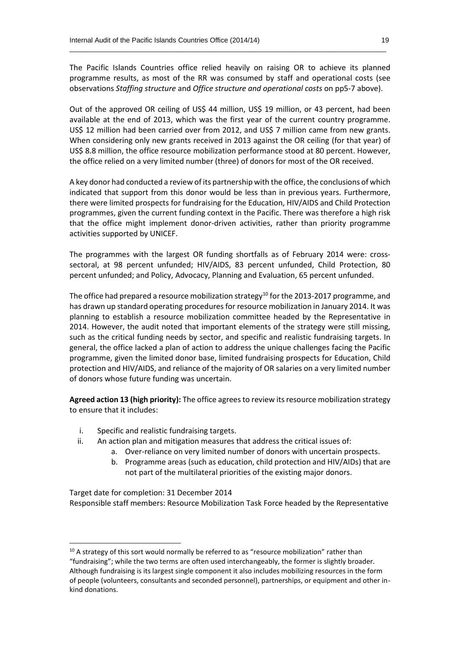The Pacific Islands Countries office relied heavily on raising OR to achieve its planned programme results, as most of the RR was consumed by staff and operational costs (see observations *Staffing structure* and *Office structure and operational costs* on pp5-7 above).

 $\_$  , and the set of the set of the set of the set of the set of the set of the set of the set of the set of the set of the set of the set of the set of the set of the set of the set of the set of the set of the set of th

Out of the approved OR ceiling of US\$ 44 million, US\$ 19 million, or 43 percent, had been available at the end of 2013, which was the first year of the current country programme. US\$ 12 million had been carried over from 2012, and US\$ 7 million came from new grants. When considering only new grants received in 2013 against the OR ceiling (for that year) of US\$ 8.8 million, the office resource mobilization performance stood at 80 percent. However, the office relied on a very limited number (three) of donors for most of the OR received.

A key donor had conducted a review of its partnership with the office, the conclusions of which indicated that support from this donor would be less than in previous years. Furthermore, there were limited prospects for fundraising for the Education, HIV/AIDS and Child Protection programmes, given the current funding context in the Pacific. There was therefore a high risk that the office might implement donor-driven activities, rather than priority programme activities supported by UNICEF.

The programmes with the largest OR funding shortfalls as of February 2014 were: crosssectoral, at 98 percent unfunded; HIV/AIDS, 83 percent unfunded, Child Protection, 80 percent unfunded; and Policy, Advocacy, Planning and Evaluation, 65 percent unfunded.

The office had prepared a resource mobilization strategy<sup>10</sup> for the 2013-2017 programme, and has drawn up standard operating procedures for resource mobilization in January 2014. It was planning to establish a resource mobilization committee headed by the Representative in 2014. However, the audit noted that important elements of the strategy were still missing, such as the critical funding needs by sector, and specific and realistic fundraising targets. In general, the office lacked a plan of action to address the unique challenges facing the Pacific programme, given the limited donor base, limited fundraising prospects for Education, Child protection and HIV/AIDS, and reliance of the majority of OR salaries on a very limited number of donors whose future funding was uncertain.

**Agreed action 13 (high priority):** The office agrees to review its resource mobilization strategy to ensure that it includes:

i. Specific and realistic fundraising targets.

 $\overline{a}$ 

- ii. An action plan and mitigation measures that address the critical issues of:
	- a. Over-reliance on very limited number of donors with uncertain prospects.
		- b. Programme areas (such as education, child protection and HIV/AIDs) that are not part of the multilateral priorities of the existing major donors.

Target date for completion: 31 December 2014 Responsible staff members: Resource Mobilization Task Force headed by the Representative

 $10$  A strategy of this sort would normally be referred to as "resource mobilization" rather than "fundraising"; while the two terms are often used interchangeably, the former is slightly broader. Although fundraising is its largest single component it also includes mobilizing resources in the form of people (volunteers, consultants and seconded personnel), partnerships, or equipment and other inkind donations.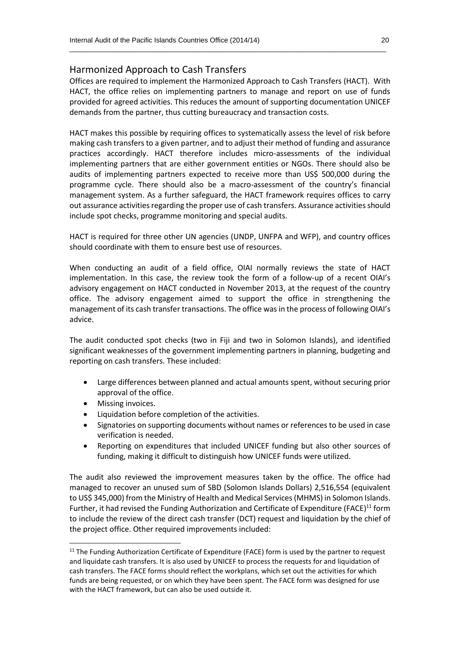#### Harmonized Approach to Cash Transfers

Offices are required to implement the Harmonized Approach to Cash Transfers (HACT). With HACT, the office relies on implementing partners to manage and report on use of funds provided for agreed activities. This reduces the amount of supporting documentation UNICEF demands from the partner, thus cutting bureaucracy and transaction costs.

 $\_$  , and the set of the set of the set of the set of the set of the set of the set of the set of the set of the set of the set of the set of the set of the set of the set of the set of the set of the set of the set of th

HACT makes this possible by requiring offices to systematically assess the level of risk before making cash transfers to a given partner, and to adjust their method of funding and assurance practices accordingly. HACT therefore includes micro-assessments of the individual implementing partners that are either government entities or NGOs. There should also be audits of implementing partners expected to receive more than US\$ 500,000 during the programme cycle. There should also be a macro-assessment of the country's financial management system. As a further safeguard, the HACT framework requires offices to carry out assurance activities regarding the proper use of cash transfers. Assurance activities should include spot checks, programme monitoring and special audits.

HACT is required for three other UN agencies (UNDP, UNFPA and WFP), and country offices should coordinate with them to ensure best use of resources.

When conducting an audit of a field office, OIAI normally reviews the state of HACT implementation. In this case, the review took the form of a follow-up of a recent OIAI's advisory engagement on HACT conducted in November 2013, at the request of the country office. The advisory engagement aimed to support the office in strengthening the management of its cash transfer transactions. The office was in the process of following OIAI's advice.

The audit conducted spot checks (two in Fiji and two in Solomon Islands), and identified significant weaknesses of the government implementing partners in planning, budgeting and reporting on cash transfers. These included:

- Large differences between planned and actual amounts spent, without securing prior approval of the office.
- Missing invoices.

 $\overline{a}$ 

- Liquidation before completion of the activities.
- Signatories on supporting documents without names or references to be used in case verification is needed.
- Reporting on expenditures that included UNICEF funding but also other sources of funding, making it difficult to distinguish how UNICEF funds were utilized.

The audit also reviewed the improvement measures taken by the office. The office had managed to recover an unused sum of SBD (Solomon Islands Dollars) 2,516,554 (equivalent to US\$ 345,000) from the Ministry of Health and Medical Services(MHMS) in Solomon Islands. Further, it had revised the Funding Authorization and Certificate of Expenditure (FACE)<sup>11</sup> form to include the review of the direct cash transfer (DCT) request and liquidation by the chief of the project office. Other required improvements included:

<sup>&</sup>lt;sup>11</sup> The Funding Authorization Certificate of Expenditure (FACE) form is used by the partner to request and liquidate cash transfers. It is also used by UNICEF to process the requests for and liquidation of cash transfers. The FACE forms should reflect the workplans, which set out the activities for which funds are being requested, or on which they have been spent. The FACE form was designed for use with the HACT framework, but can also be used outside it.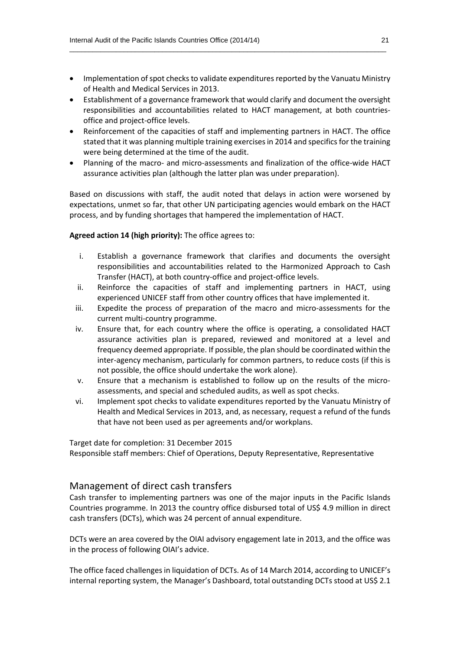• Implementation of spot checks to validate expenditures reported by the Vanuatu Ministry of Health and Medical Services in 2013.

 $\_$  , and the set of the set of the set of the set of the set of the set of the set of the set of the set of the set of the set of the set of the set of the set of the set of the set of the set of the set of the set of th

- Establishment of a governance framework that would clarify and document the oversight responsibilities and accountabilities related to HACT management, at both countries‐ office and project‐office levels.
- Reinforcement of the capacities of staff and implementing partners in HACT. The office stated that it was planning multiple training exercises in 2014 and specifics for the training were being determined at the time of the audit.
- Planning of the macro- and micro-assessments and finalization of the office-wide HACT assurance activities plan (although the latter plan was under preparation).

Based on discussions with staff, the audit noted that delays in action were worsened by expectations, unmet so far, that other UN participating agencies would embark on the HACT process, and by funding shortages that hampered the implementation of HACT.

#### **Agreed action 14 (high priority):** The office agrees to:

- i. Establish a governance framework that clarifies and documents the oversight responsibilities and accountabilities related to the Harmonized Approach to Cash Transfer (HACT), at both country‐office and project‐office levels.
- ii. Reinforce the capacities of staff and implementing partners in HACT, using experienced UNICEF staff from other country offices that have implemented it.
- iii. Expedite the process of preparation of the macro and micro-assessments for the current multi‐country programme.
- iv. Ensure that, for each country where the office is operating, a consolidated HACT assurance activities plan is prepared, reviewed and monitored at a level and frequency deemed appropriate. If possible, the plan should be coordinated within the inter-agency mechanism, particularly for common partners, to reduce costs (if this is not possible, the office should undertake the work alone).
- v. Ensure that a mechanism is established to follow up on the results of the micro‐ assessments, and special and scheduled audits, as well as spot checks.
- vi. Implement spot checks to validate expenditures reported by the Vanuatu Ministry of Health and Medical Services in 2013, and, as necessary, request a refund of the funds that have not been used as per agreements and/or workplans.

Target date for completion: 31 December 2015

Responsible staff members: Chief of Operations, Deputy Representative, Representative

#### Management of direct cash transfers

Cash transfer to implementing partners was one of the major inputs in the Pacific Islands Countries programme. In 2013 the country office disbursed total of US\$ 4.9 million in direct cash transfers (DCTs), which was 24 percent of annual expenditure.

DCTs were an area covered by the OIAI advisory engagement late in 2013, and the office was in the process of following OIAI's advice.

The office faced challenges in liquidation of DCTs. As of 14 March 2014, according to UNICEF's internal reporting system, the Manager's Dashboard, total outstanding DCTs stood at US\$ 2.1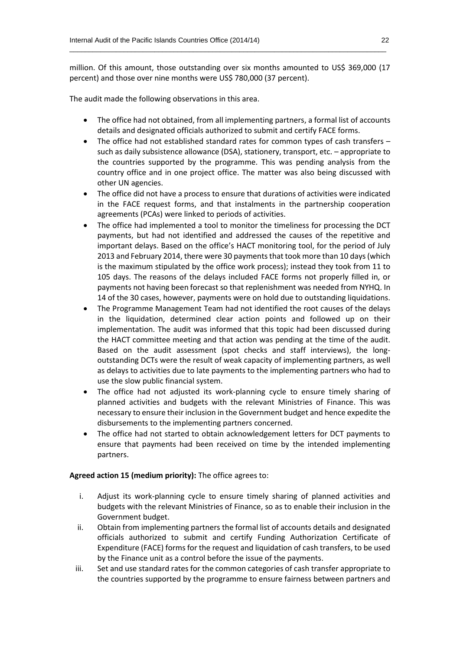million. Of this amount, those outstanding over six months amounted to US\$ 369,000 (17 percent) and those over nine months were US\$ 780,000 (37 percent).

 $\_$  , and the set of the set of the set of the set of the set of the set of the set of the set of the set of the set of the set of the set of the set of the set of the set of the set of the set of the set of the set of th

The audit made the following observations in this area.

- The office had not obtained, from all implementing partners, a formal list of accounts details and designated officials authorized to submit and certify FACE forms.
- The office had not established standard rates for common types of cash transfers such as daily subsistence allowance (DSA), stationery, transport, etc. – appropriate to the countries supported by the programme. This was pending analysis from the country office and in one project office. The matter was also being discussed with other UN agencies.
- The office did not have a process to ensure that durations of activities were indicated in the FACE request forms, and that instalments in the partnership cooperation agreements (PCAs) were linked to periods of activities.
- The office had implemented a tool to monitor the timeliness for processing the DCT payments, but had not identified and addressed the causes of the repetitive and important delays. Based on the office's HACT monitoring tool, for the period of July 2013 and February 2014, there were 30 payments that took more than 10 days (which is the maximum stipulated by the office work process); instead they took from 11 to 105 days. The reasons of the delays included FACE forms not properly filled in, or payments not having been forecast so that replenishment was needed from NYHQ. In 14 of the 30 cases, however, payments were on hold due to outstanding liquidations.
- The Programme Management Team had not identified the root causes of the delays in the liquidation, determined clear action points and followed up on their implementation. The audit was informed that this topic had been discussed during the HACT committee meeting and that action was pending at the time of the audit. Based on the audit assessment (spot checks and staff interviews), the longoutstanding DCTs were the result of weak capacity of implementing partners, as well as delays to activities due to late payments to the implementing partners who had to use the slow public financial system.
- The office had not adjusted its work-planning cycle to ensure timely sharing of planned activities and budgets with the relevant Ministries of Finance. This was necessary to ensure their inclusion in the Government budget and hence expedite the disbursements to the implementing partners concerned.
- The office had not started to obtain acknowledgement letters for DCT payments to ensure that payments had been received on time by the intended implementing partners.

#### **Agreed action 15 (medium priority):** The office agrees to:

- i. Adjust its work-planning cycle to ensure timely sharing of planned activities and budgets with the relevant Ministries of Finance, so as to enable their inclusion in the Government budget.
- ii. Obtain from implementing partners the formal list of accounts details and designated officials authorized to submit and certify Funding Authorization Certificate of Expenditure (FACE) forms for the request and liquidation of cash transfers, to be used by the Finance unit as a control before the issue of the payments.
- iii. Set and use standard rates for the common categories of cash transfer appropriate to the countries supported by the programme to ensure fairness between partners and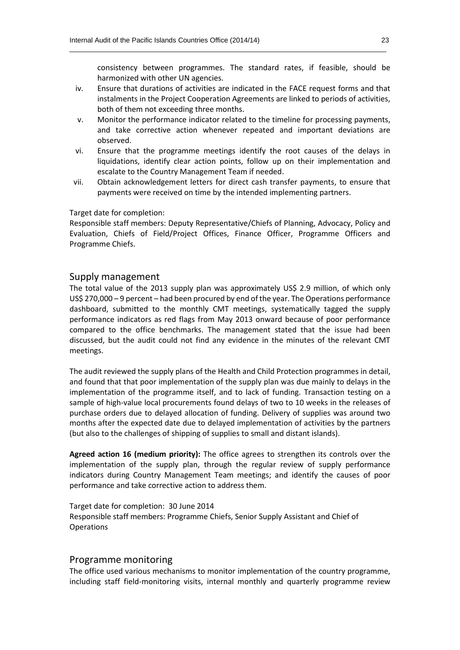consistency between programmes. The standard rates, if feasible, should be harmonized with other UN agencies.

iv. Ensure that durations of activities are indicated in the FACE request forms and that instalments in the Project Cooperation Agreements are linked to periods of activities, both of them not exceeding three months.

 $\_$  , and the set of the set of the set of the set of the set of the set of the set of the set of the set of the set of the set of the set of the set of the set of the set of the set of the set of the set of the set of th

- v. Monitor the performance indicator related to the timeline for processing payments, and take corrective action whenever repeated and important deviations are observed.
- vi. Ensure that the programme meetings identify the root causes of the delays in liquidations, identify clear action points, follow up on their implementation and escalate to the Country Management Team if needed.
- vii. Obtain acknowledgement letters for direct cash transfer payments, to ensure that payments were received on time by the intended implementing partners.

#### Target date for completion:

Responsible staff members: Deputy Representative/Chiefs of Planning, Advocacy, Policy and Evaluation, Chiefs of Field/Project Offices, Finance Officer, Programme Officers and Programme Chiefs.

#### Supply management

The total value of the 2013 supply plan was approximately US\$ 2.9 million, of which only US\$ 270,000 – 9 percent – had been procured by end of the year. The Operations performance dashboard, submitted to the monthly CMT meetings, systematically tagged the supply performance indicators as red flags from May 2013 onward because of poor performance compared to the office benchmarks. The management stated that the issue had been discussed, but the audit could not find any evidence in the minutes of the relevant CMT meetings.

The audit reviewed the supply plans of the Health and Child Protection programmes in detail, and found that that poor implementation of the supply plan was due mainly to delays in the implementation of the programme itself, and to lack of funding. Transaction testing on a sample of high-value local procurements found delays of two to 10 weeks in the releases of purchase orders due to delayed allocation of funding. Delivery of supplies was around two months after the expected date due to delayed implementation of activities by the partners (but also to the challenges of shipping of supplies to small and distant islands).

**Agreed action 16 (medium priority):** The office agrees to strengthen its controls over the implementation of the supply plan, through the regular review of supply performance indicators during Country Management Team meetings; and identify the causes of poor performance and take corrective action to address them.

Target date for completion: 30 June 2014 Responsible staff members: Programme Chiefs, Senior Supply Assistant and Chief of **Operations** 

#### Programme monitoring

The office used various mechanisms to monitor implementation of the country programme, including staff field-monitoring visits, internal monthly and quarterly programme review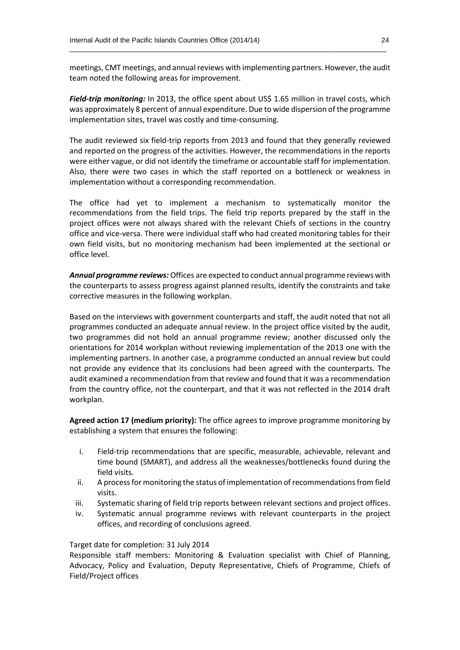meetings, CMT meetings, and annual reviews with implementing partners. However, the audit team noted the following areas for improvement.

 $\_$  , and the set of the set of the set of the set of the set of the set of the set of the set of the set of the set of the set of the set of the set of the set of the set of the set of the set of the set of the set of th

*Field-trip monitoring:* In 2013, the office spent about US\$ 1.65 million in travel costs, which was approximately 8 percent of annual expenditure. Due to wide dispersion of the programme implementation sites, travel was costly and time-consuming.

The audit reviewed six field-trip reports from 2013 and found that they generally reviewed and reported on the progress of the activities. However, the recommendations in the reports were either vague, or did not identify the timeframe or accountable staff for implementation. Also, there were two cases in which the staff reported on a bottleneck or weakness in implementation without a corresponding recommendation.

The office had yet to implement a mechanism to systematically monitor the recommendations from the field trips. The field trip reports prepared by the staff in the project offices were not always shared with the relevant Chiefs of sections in the country office and vice-versa. There were individual staff who had created monitoring tables for their own field visits, but no monitoring mechanism had been implemented at the sectional or office level.

*Annual programme reviews:* Offices are expected to conduct annual programme reviews with the counterparts to assess progress against planned results, identify the constraints and take corrective measures in the following workplan.

Based on the interviews with government counterparts and staff, the audit noted that not all programmes conducted an adequate annual review. In the project office visited by the audit, two programmes did not hold an annual programme review; another discussed only the orientations for 2014 workplan without reviewing implementation of the 2013 one with the implementing partners. In another case, a programme conducted an annual review but could not provide any evidence that its conclusions had been agreed with the counterparts. The audit examined a recommendation from that review and found that it was a recommendation from the country office, not the counterpart, and that it was not reflected in the 2014 draft workplan.

**Agreed action 17 (medium priority):** The office agrees to improve programme monitoring by establishing a system that ensures the following:

- i. Field-trip recommendations that are specific, measurable, achievable, relevant and time bound (SMART), and address all the weaknesses/bottlenecks found during the field visits.
- ii. A process for monitoring the status of implementation of recommendations from field visits.
- iii. Systematic sharing of field trip reports between relevant sections and project offices.
- iv. Systematic annual programme reviews with relevant counterparts in the project offices, and recording of conclusions agreed.

Target date for completion: 31 July 2014

Responsible staff members: Monitoring & Evaluation specialist with Chief of Planning, Advocacy, Policy and Evaluation, Deputy Representative, Chiefs of Programme, Chiefs of Field/Project offices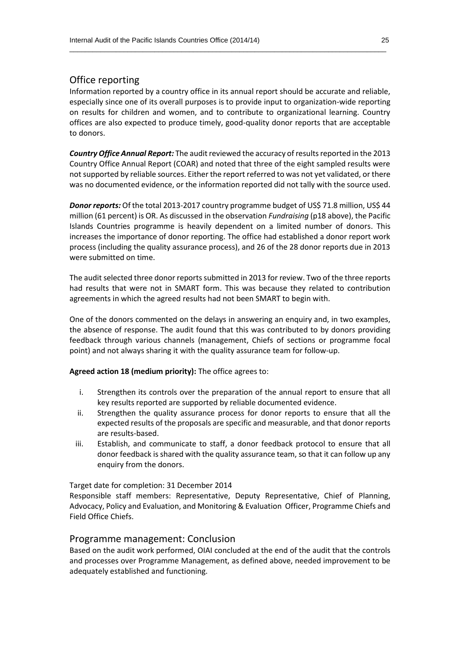#### Office reporting

Information reported by a country office in its annual report should be accurate and reliable, especially since one of its overall purposes is to provide input to organization-wide reporting on results for children and women, and to contribute to organizational learning. Country offices are also expected to produce timely, good-quality donor reports that are acceptable to donors.

 $\_$  , and the set of the set of the set of the set of the set of the set of the set of the set of the set of the set of the set of the set of the set of the set of the set of the set of the set of the set of the set of th

*Country Office Annual Report:* The audit reviewed the accuracy of results reported in the 2013 Country Office Annual Report (COAR) and noted that three of the eight sampled results were not supported by reliable sources. Either the report referred to was not yet validated, or there was no documented evidence, or the information reported did not tally with the source used.

*Donor reports:* Of the total 2013-2017 country programme budget of US\$ 71.8 million, US\$ 44 million (61 percent) is OR. As discussed in the observation *Fundraising* (p18 above), the Pacific Islands Countries programme is heavily dependent on a limited number of donors. This increases the importance of donor reporting. The office had established a donor report work process (including the quality assurance process), and 26 of the 28 donor reports due in 2013 were submitted on time.

The audit selected three donor reports submitted in 2013 for review. Two of the three reports had results that were not in SMART form. This was because they related to contribution agreements in which the agreed results had not been SMART to begin with.

One of the donors commented on the delays in answering an enquiry and, in two examples, the absence of response. The audit found that this was contributed to by donors providing feedback through various channels (management, Chiefs of sections or programme focal point) and not always sharing it with the quality assurance team for follow-up.

#### **Agreed action 18 (medium priority):** The office agrees to:

- i. Strengthen its controls over the preparation of the annual report to ensure that all key results reported are supported by reliable documented evidence.
- ii. Strengthen the quality assurance process for donor reports to ensure that all the expected results of the proposals are specific and measurable, and that donor reports are results-based.
- iii. Establish, and communicate to staff, a donor feedback protocol to ensure that all donor feedback is shared with the quality assurance team, so that it can follow up any enquiry from the donors.

Target date for completion: 31 December 2014

Responsible staff members: Representative, Deputy Representative, Chief of Planning, Advocacy, Policy and Evaluation, and Monitoring & Evaluation Officer, Programme Chiefs and Field Office Chiefs.

#### Programme management: Conclusion

Based on the audit work performed, OIAI concluded at the end of the audit that the controls and processes over Programme Management, as defined above, needed improvement to be adequately established and functioning.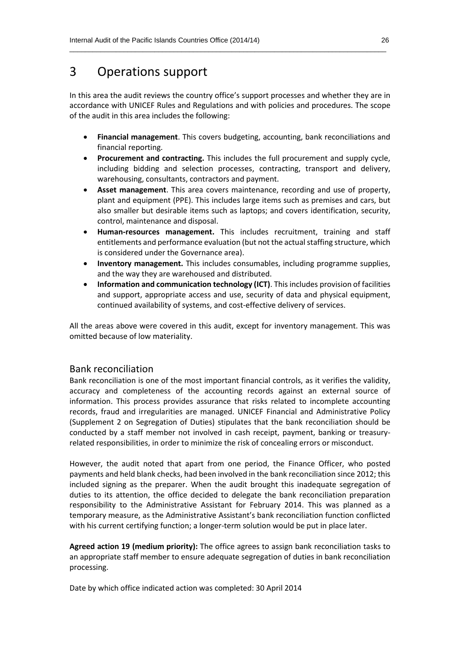# 3 Operations support

In this area the audit reviews the country office's support processes and whether they are in accordance with UNICEF Rules and Regulations and with policies and procedures. The scope of the audit in this area includes the following:

 $\_$  , and the set of the set of the set of the set of the set of the set of the set of the set of the set of the set of the set of the set of the set of the set of the set of the set of the set of the set of the set of th

- **Financial management**. This covers budgeting, accounting, bank reconciliations and financial reporting.
- **Procurement and contracting.** This includes the full procurement and supply cycle, including bidding and selection processes, contracting, transport and delivery, warehousing, consultants, contractors and payment.
- **Asset management**. This area covers maintenance, recording and use of property, plant and equipment (PPE). This includes large items such as premises and cars, but also smaller but desirable items such as laptops; and covers identification, security, control, maintenance and disposal.
- **Human-resources management.** This includes recruitment, training and staff entitlements and performance evaluation (but not the actual staffing structure, which is considered under the Governance area).
- **Inventory management.** This includes consumables, including programme supplies, and the way they are warehoused and distributed.
- **Information and communication technology (ICT)**. This includes provision of facilities and support, appropriate access and use, security of data and physical equipment, continued availability of systems, and cost-effective delivery of services.

All the areas above were covered in this audit, except for inventory management. This was omitted because of low materiality.

#### Bank reconciliation

Bank reconciliation is one of the most important financial controls, as it verifies the validity, accuracy and completeness of the accounting records against an external source of information. This process provides assurance that risks related to incomplete accounting records, fraud and irregularities are managed. UNICEF Financial and Administrative Policy (Supplement 2 on Segregation of Duties) stipulates that the bank reconciliation should be conducted by a staff member not involved in cash receipt, payment, banking or treasuryrelated responsibilities, in order to minimize the risk of concealing errors or misconduct.

However, the audit noted that apart from one period, the Finance Officer, who posted payments and held blank checks, had been involved in the bank reconciliation since 2012; this included signing as the preparer. When the audit brought this inadequate segregation of duties to its attention, the office decided to delegate the bank reconciliation preparation responsibility to the Administrative Assistant for February 2014. This was planned as a temporary measure, as the Administrative Assistant's bank reconciliation function conflicted with his current certifying function; a longer-term solution would be put in place later.

**Agreed action 19 (medium priority):** The office agrees to assign bank reconciliation tasks to an appropriate staff member to ensure adequate segregation of duties in bank reconciliation processing.

Date by which office indicated action was completed: 30 April 2014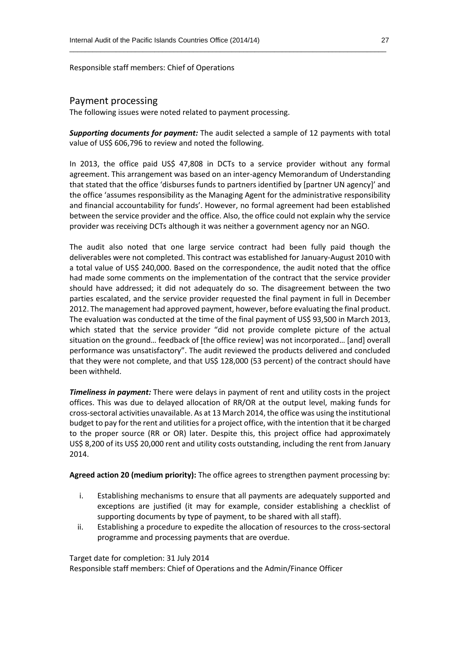Responsible staff members: Chief of Operations

#### Payment processing

The following issues were noted related to payment processing.

*Supporting documents for payment:* The audit selected a sample of 12 payments with total value of US\$ 606,796 to review and noted the following.

 $\_$  , and the set of the set of the set of the set of the set of the set of the set of the set of the set of the set of the set of the set of the set of the set of the set of the set of the set of the set of the set of th

In 2013, the office paid US\$ 47,808 in DCTs to a service provider without any formal agreement. This arrangement was based on an inter-agency Memorandum of Understanding that stated that the office 'disburses funds to partners identified by [partner UN agency]' and the office 'assumes responsibility as the Managing Agent for the administrative responsibility and financial accountability for funds'. However, no formal agreement had been established between the service provider and the office. Also, the office could not explain why the service provider was receiving DCTs although it was neither a government agency nor an NGO.

The audit also noted that one large service contract had been fully paid though the deliverables were not completed. This contract was established for January-August 2010 with a total value of US\$ 240,000. Based on the correspondence, the audit noted that the office had made some comments on the implementation of the contract that the service provider should have addressed; it did not adequately do so. The disagreement between the two parties escalated, and the service provider requested the final payment in full in December 2012. The management had approved payment, however, before evaluating the final product. The evaluation was conducted at the time of the final payment of US\$ 93,500 in March 2013, which stated that the service provider "did not provide complete picture of the actual situation on the ground… feedback of [the office review] was not incorporated… [and] overall performance was unsatisfactory". The audit reviewed the products delivered and concluded that they were not complete, and that US\$ 128,000 (53 percent) of the contract should have been withheld.

*Timeliness in payment:* There were delays in payment of rent and utility costs in the project offices. This was due to delayed allocation of RR/OR at the output level, making funds for cross-sectoral activities unavailable. As at 13 March 2014, the office was using the institutional budget to pay for the rent and utilities for a project office, with the intention that it be charged to the proper source (RR or OR) later. Despite this, this project office had approximately US\$ 8,200 of its US\$ 20,000 rent and utility costs outstanding, including the rent from January 2014.

**Agreed action 20 (medium priority):** The office agrees to strengthen payment processing by:

- i. Establishing mechanisms to ensure that all payments are adequately supported and exceptions are justified (it may for example, consider establishing a checklist of supporting documents by type of payment, to be shared with all staff).
- ii. Establishing a procedure to expedite the allocation of resources to the cross-sectoral programme and processing payments that are overdue.

Target date for completion: 31 July 2014

Responsible staff members: Chief of Operations and the Admin/Finance Officer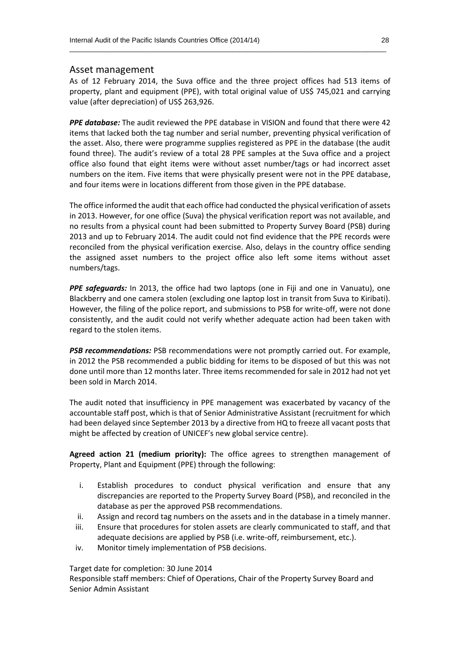#### Asset management

As of 12 February 2014, the Suva office and the three project offices had 513 items of property, plant and equipment (PPE), with total original value of US\$ 745,021 and carrying value (after depreciation) of US\$ 263,926.

 $\_$  , and the set of the set of the set of the set of the set of the set of the set of the set of the set of the set of the set of the set of the set of the set of the set of the set of the set of the set of the set of th

*PPE database:* The audit reviewed the PPE database in VISION and found that there were 42 items that lacked both the tag number and serial number, preventing physical verification of the asset. Also, there were programme supplies registered as PPE in the database (the audit found three). The audit's review of a total 28 PPE samples at the Suva office and a project office also found that eight items were without asset number/tags or had incorrect asset numbers on the item. Five items that were physically present were not in the PPE database, and four items were in locations different from those given in the PPE database.

The office informed the audit that each office had conducted the physical verification of assets in 2013. However, for one office (Suva) the physical verification report was not available, and no results from a physical count had been submitted to Property Survey Board (PSB) during 2013 and up to February 2014. The audit could not find evidence that the PPE records were reconciled from the physical verification exercise. Also, delays in the country office sending the assigned asset numbers to the project office also left some items without asset numbers/tags.

*PPE safeguards:* In 2013, the office had two laptops (one in Fiji and one in Vanuatu), one Blackberry and one camera stolen (excluding one laptop lost in transit from Suva to Kiribati). However, the filing of the police report, and submissions to PSB for write-off, were not done consistently, and the audit could not verify whether adequate action had been taken with regard to the stolen items.

**PSB recommendations:** PSB recommendations were not promptly carried out. For example, in 2012 the PSB recommended a public bidding for items to be disposed of but this was not done until more than 12 months later. Three items recommended for sale in 2012 had not yet been sold in March 2014.

The audit noted that insufficiency in PPE management was exacerbated by vacancy of the accountable staff post, which is that of Senior Administrative Assistant (recruitment for which had been delayed since September 2013 by a directive from HQ to freeze all vacant posts that might be affected by creation of UNICEF's new global service centre).

**Agreed action 21 (medium priority):** The office agrees to strengthen management of Property, Plant and Equipment (PPE) through the following:

- i. Establish procedures to conduct physical verification and ensure that any discrepancies are reported to the Property Survey Board (PSB), and reconciled in the database as per the approved PSB recommendations.
- ii. Assign and record tag numbers on the assets and in the database in a timely manner.
- iii. Ensure that procedures for stolen assets are clearly communicated to staff, and that adequate decisions are applied by PSB (i.e. write-off, reimbursement, etc.).
- iv. Monitor timely implementation of PSB decisions.

Target date for completion: 30 June 2014

Responsible staff members: Chief of Operations, Chair of the Property Survey Board and Senior Admin Assistant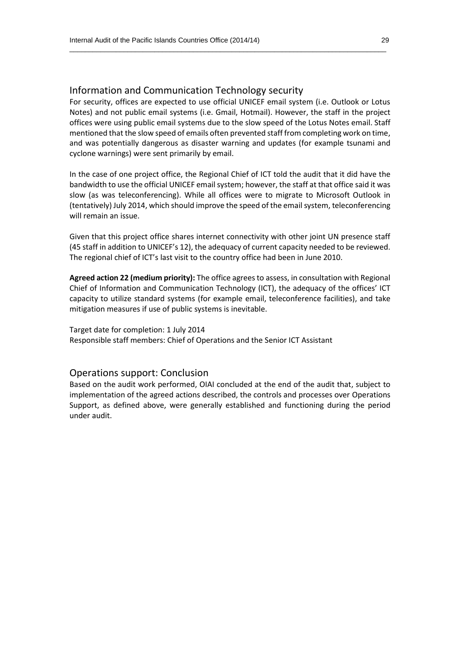#### Information and Communication Technology security

For security, offices are expected to use official UNICEF email system (i.e. Outlook or Lotus Notes) and not public email systems (i.e. Gmail, Hotmail). However, the staff in the project offices were using public email systems due to the slow speed of the Lotus Notes email. Staff mentioned that the slow speed of emails often prevented staff from completing work on time, and was potentially dangerous as disaster warning and updates (for example tsunami and cyclone warnings) were sent primarily by email.

 $\_$  , and the set of the set of the set of the set of the set of the set of the set of the set of the set of the set of the set of the set of the set of the set of the set of the set of the set of the set of the set of th

In the case of one project office, the Regional Chief of ICT told the audit that it did have the bandwidth to use the official UNICEF email system; however, the staff at that office said it was slow (as was teleconferencing). While all offices were to migrate to Microsoft Outlook in (tentatively) July 2014, which should improve the speed of the email system, teleconferencing will remain an issue.

Given that this project office shares internet connectivity with other joint UN presence staff (45 staff in addition to UNICEF's 12), the adequacy of current capacity needed to be reviewed. The regional chief of ICT's last visit to the country office had been in June 2010.

**Agreed action 22 (medium priority):** The office agrees to assess, in consultation with Regional Chief of Information and Communication Technology (ICT), the adequacy of the offices' ICT capacity to utilize standard systems (for example email, teleconference facilities), and take mitigation measures if use of public systems is inevitable.

Target date for completion: 1 July 2014 Responsible staff members: Chief of Operations and the Senior ICT Assistant

#### Operations support: Conclusion

Based on the audit work performed, OIAI concluded at the end of the audit that, subject to implementation of the agreed actions described, the controls and processes over Operations Support, as defined above, were generally established and functioning during the period under audit.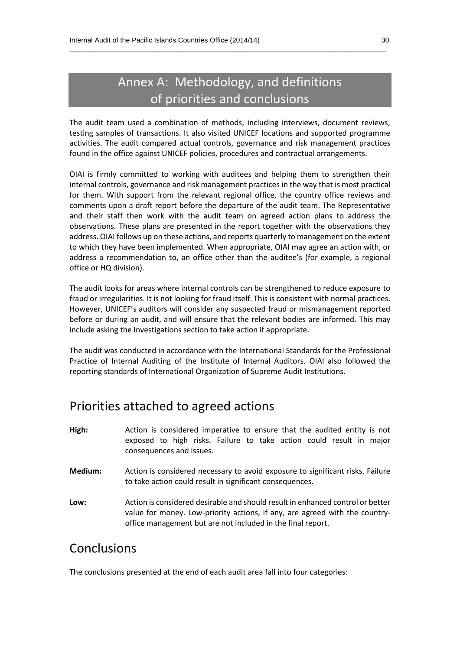# Annex A: Methodology, and definitions of priorities and conclusions

 $\_$  , and the set of the set of the set of the set of the set of the set of the set of the set of the set of the set of the set of the set of the set of the set of the set of the set of the set of the set of the set of th

The audit team used a combination of methods, including interviews, document reviews, testing samples of transactions. It also visited UNICEF locations and supported programme activities. The audit compared actual controls, governance and risk management practices found in the office against UNICEF policies, procedures and contractual arrangements.

OIAI is firmly committed to working with auditees and helping them to strengthen their internal controls, governance and risk management practices in the way that is most practical for them. With support from the relevant regional office, the country office reviews and comments upon a draft report before the departure of the audit team. The Representative and their staff then work with the audit team on agreed action plans to address the observations. These plans are presented in the report together with the observations they address. OIAI follows up on these actions, and reports quarterly to management on the extent to which they have been implemented. When appropriate, OIAI may agree an action with, or address a recommendation to, an office other than the auditee's (for example, a regional office or HQ division).

The audit looks for areas where internal controls can be strengthened to reduce exposure to fraud or irregularities. It is not looking for fraud itself. This is consistent with normal practices. However, UNICEF's auditors will consider any suspected fraud or mismanagement reported before or during an audit, and will ensure that the relevant bodies are informed. This may include asking the Investigations section to take action if appropriate.

The audit was conducted in accordance with the International Standards for the Professional Practice of Internal Auditing of the Institute of Internal Auditors. OIAI also followed the reporting standards of International Organization of Supreme Audit Institutions.

### Priorities attached to agreed actions

| High:     | Action is considered imperative to ensure that the audited entity is not                        |
|-----------|-------------------------------------------------------------------------------------------------|
|           | exposed to high risks. Failure to take action could result in major<br>consequences and issues. |
| Medium: l | Action is considered necessary to avoid exposure to significant risks. Failure                  |

**Low:** Action is considered desirable and should result in enhanced control or better value for money. Low-priority actions, if any, are agreed with the countryoffice management but are not included in the final report.

to take action could result in significant consequences.

### Conclusions

The conclusions presented at the end of each audit area fall into four categories: